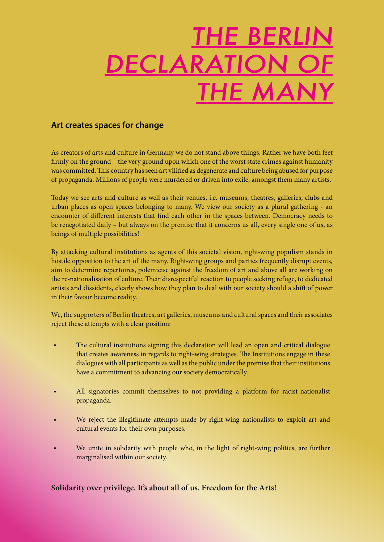# E BERL ECLAR. THE MANY

## **Art creates spaces for change**

As creators of arts and culture in Germany we do not stand above things. Rather we have both feet firmly on the ground – the very ground upon which one of the worst state crimes against humanity was committed. This country has seen art vilified as degenerate and culture being abused for purpose of propaganda. Millions of people were murdered or driven into exile, amongst them many artists.

Today we see arts and culture as well as their venues, i.e. museums, theatres, galleries, clubs and urban places as open spaces belonging to many. We view our society as a plural gathering - an encounter of different interests that find each other in the spaces between. Democracy needs to be renegotiated daily – but always on the premise that it concerns us all, every single one of us, as beings of multiple possibilities!

By attacking cultural institutions as agents of this societal vision, right-wing populism stands in hostile opposition to the art of the many. Right-wing groups and parties frequently disrupt events, aim to determine repertoires, polemicise against the freedom of art and above all are working on the re-nationalisation of culture. Their disrespectful reaction to people seeking refuge, to dedicated artists and dissidents, clearly shows how they plan to deal with our society should a shift of power in their favour become reality.

We, the supporters of Berlin theatres, art galleries, museums and cultural spaces and their associates reject these attempts with a clear position:

- The cultural institutions signing this declaration will lead an open and critical dialogue that creates awareness in regards to right-wing strategies. The Institutions engage in these dialogues with all participants as well as the public under the premise that their institutions have a commitment to advancing our society democratically.
- All signatories commit themselves to not providing a platform for racist-nationalist propaganda.
- We reject the illegitimate attempts made by right-wing nationalists to exploit art and cultural events for their own purposes.
- We unite in solidarity with people who, in the light of right-wing politics, are further marginalised within our society.

### **Solidarity over privilege. It's about all of us. Freedom for the Arts!**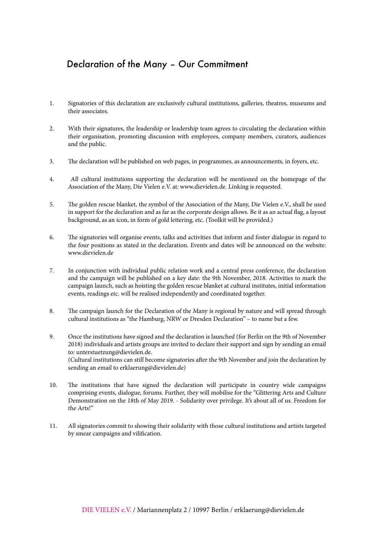# Declaration of the Many – Our Commitment

- 1. Signatories of this declaration are exclusively cultural institutions, galleries, theatres, museums and their associates.
- 2. With their signatures, the leadership or leadership team agrees to circulating the declaration within their organisation, promoting discussion with employees, company members, curators, audiences and the public.
- 3. The declaration will be published on web pages, in programmes, as announcements, in foyers, etc.
- 4. All cultural institutions supporting the declaration will be mentioned on the homepage of the Association of the Many, Die Vielen e.V. at: www.dievielen.de. Linking is requested.
- 5. The golden rescue blanket, the symbol of the Association of the Many, Die Vielen e.V., shall be used in support for the declaration and as far as the corporate design allows. Be it as an actual flag, a layout background, as an icon, in form of gold lettering, etc. (Toolkit will be provided.)
- 6. The signatories will organise events, talks and activities that inform and foster dialogue in regard to the four positions as stated in the declaration. Events and dates will be announced on the website: www.dievielen.de
- 7. In conjunction with individual public relation work and a central press conference, the declaration and the campaign will be published on a key date: the 9th November, 2018. Activities to mark the campaign launch, such as hoisting the golden rescue blanket at cultural institutes, initial information events, readings etc. will be realised independently and coordinated together.
- 8. The campaign launch for the Declaration of the Many is regional by nature and will spread through cultural institutions as "the Hamburg, NRW or Dresden Declaration" – to name but a few.
- 9. Once the institutions have signed and the declaration is launched (for Berlin on the 9th of November 2018) individuals and artists groups are invited to declare their support and sign by sending an email to: unterstuetzung@dievielen.de. (Cultural institutions can still become signatories after the 9th November and join the declaration by sending an email to erklaerung@dievielen.de)
- 10. The institutions that have signed the declaration will participate in country wide campaigns comprising events, dialogue, forums. Further, they will mobilise for the "Glittering Arts and Culture Demonstration on the 18th of May 2019. - Solidarity over privilege. It's about all of us. Freedom for the Arts!"
- 11. All signatories commit to showing their solidarity with those cultural institutions and artists targeted by smear campaigns and vilification.